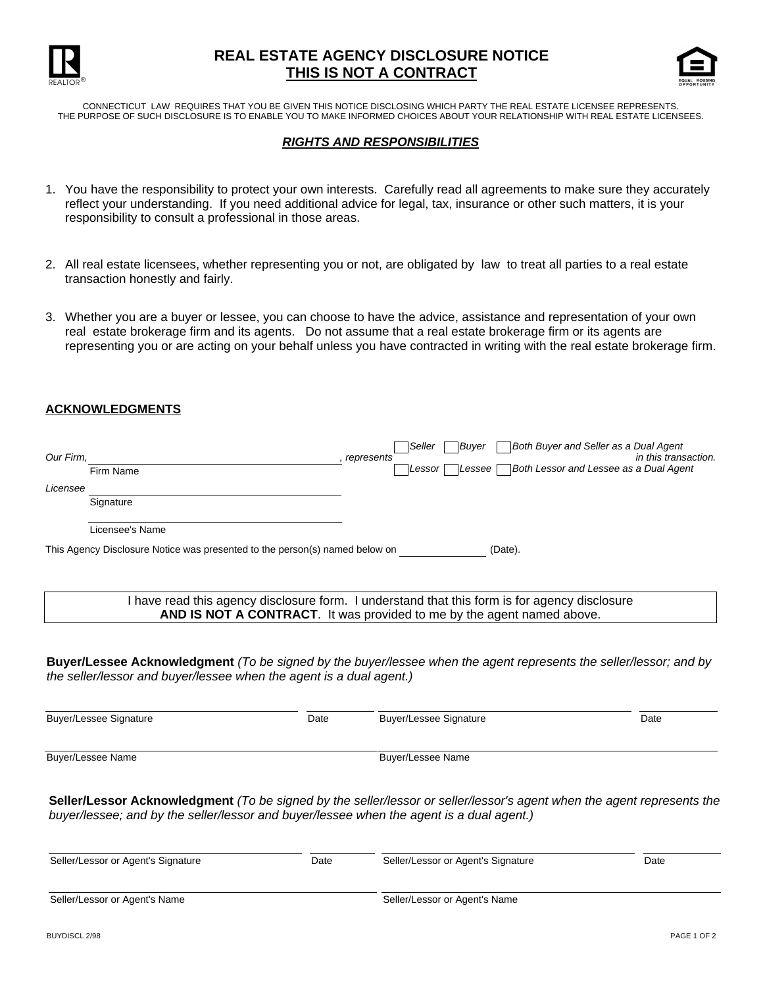

# **REAL ESTATE AGENCY DISCLOSURE NOTICE THIS IS NOT A CONTRACT**



CONNECTICUT LAW REQUIRES THAT YOU BE GIVEN THIS NOTICE DISCLOSING WHICH PARTY THE REAL ESTATE LICENSEE REPRESENTS. THE PURPOSE OF SUCH DISCLOSURE IS TO ENABLE YOU TO MAKE INFORMED CHOICES ABOUT YOUR RELATIONSHIP WITH REAL ESTATE LICENSEES.

## *RIGHTS AND RESPONSIBILITIES*

- 1. You have the responsibility to protect your own interests. Carefully read all agreements to make sure they accurately reflect your understanding. If you need additional advice for legal, tax, insurance or other such matters, it is your responsibility to consult a professional in those areas.
- 2. All real estate licensees, whether representing you or not, are obligated by law to treat all parties to a real estate transaction honestly and fairly.
- Whether you are a buyer or lessee, you can choose to have the advice, assistance and representation of your own 3. real estate brokerage firm and its agents. Do not assume that a real estate brokerage firm or its agents are representing you or are acting on your behalf unless you have contracted in writing with the real estate brokerage firm.

#### **ACKNOWLEDGMENTS**

| Our Firm,                                                                              | Firm Name       | Buyer<br>Seller<br>represents<br>Lessee<br>Lessor | Both Buyer and Seller as a Dual Agent<br>in this transaction.<br>Both Lessor and Lessee as a Dual Agent |
|----------------------------------------------------------------------------------------|-----------------|---------------------------------------------------|---------------------------------------------------------------------------------------------------------|
| Licensee                                                                               |                 |                                                   |                                                                                                         |
|                                                                                        | Signature       |                                                   |                                                                                                         |
|                                                                                        | Licensee's Name |                                                   |                                                                                                         |
| This Agency Disclosure Notice was presented to the person(s) named below on<br>(Date). |                 |                                                   |                                                                                                         |
|                                                                                        |                 |                                                   |                                                                                                         |

I have read this agency disclosure form. I understand that this form is for agency disclosure **AND IS NOT A CONTRACT**. It was provided to me by the agent named above.

**Buyer/Lessee Acknowledgment** *(To be signed by the buyer/lessee when the agent represents the seller/lessor; and by the seller/lessor and buyer/lessee when the agent is a dual agent.)*

| Buyer/Lessee Signature | Date | Buyer/Lessee Signature | Date |
|------------------------|------|------------------------|------|
| Buyer/Lessee Name      |      | Buyer/Lessee Name      |      |

**Seller/Lessor Acknowledgment** *(To be signed by the seller/lessor or seller/lessor's agent when the agent represents the buyer/lessee; and by the seller/lessor and buyer/lessee when the agent is a dual agent.)*

| Seller/Lessor or Agent's Signature | Date | Seller/Lessor or Agent's Signature | Date |
|------------------------------------|------|------------------------------------|------|
| Seller/Lessor or Agent's Name      |      | Seller/Lessor or Agent's Name      |      |